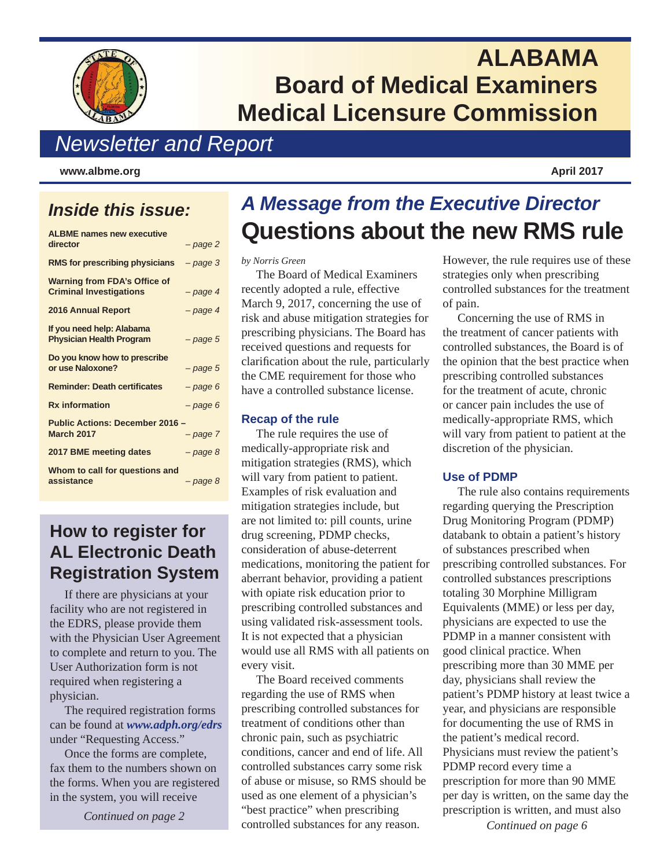

# **ALABAMA Board of Medical Examiners Medical Licensure Commission**

# *Newsletter and Report*

**www.albme.org April 2017**

### *Inside this issue:*

| <b>ALBME names new executive</b><br>director | $-page2$ |
|----------------------------------------------|----------|
|                                              |          |
| <b>RMS for prescribing physicians</b>        | $-page3$ |
| <b>Warning from FDA's Office of</b>          |          |
| <b>Criminal Investigations</b>               | - page 4 |
| <b>2016 Annual Report</b>                    | $-page4$ |
| If you need help: Alabama                    |          |
| <b>Physician Health Program</b>              | $-page5$ |
| Do you know how to prescribe                 |          |
| or use Naloxone?                             | $-page5$ |
| <b>Reminder: Death certificates</b>          | - page 6 |
| <b>Rx</b> information                        | $-page6$ |
| <b>Public Actions: December 2016 -</b>       |          |
| <b>March 2017</b>                            | - page 7 |
| 2017 BME meeting dates                       | - page 8 |
| Whom to call for questions and               |          |
| assistance                                   | – page 8 |
|                                              |          |

### **How to register for AL Electronic Death Registration System**

If there are physicians at your facility who are not registered in the EDRS, please provide them with the Physician User Agreement to complete and return to you. The User Authorization form is not required when registering a physician.

The required registration forms can be found at *www.adph.org/edrs* under "Requesting Access."

Once the forms are complete, fax them to the numbers shown on the forms. When you are registered in the system, you will receive

*Continued on page 2*

# *A Message from the Executive Director* **Questions about the new RMS rule**

*b y Norris Green*

The Board of Medical Examiners recently adopted a rule, effective March 9, 2017, concerning the use of risk and abuse mitigation strategies for prescribing physicians. The Board has received questions and requests for clarification about the rule, particularly the CME requirement for those who have a controlled substance license.

### **Recap of the rule**

The rule requires the use of medically-appropriate risk and mitigation strategies (RMS), which will vary from patient to patient. Examples of risk evaluation and mitigation strategies include, but are not limited to: pill counts, urine drug screening, PDMP checks, consideration of abuse-deterrent medications, monitoring the patient for aberrant behavior, providing a patient with opiate risk education prior to prescribing controlled substances and using validated risk-assessment tools. It is not expected that a physician would use all RMS with all patients on every visit.

The Board received comments regarding the use of RMS when prescribing controlled substances for treatment of conditions other than chronic pain, such as psychiatric conditions, cancer and end of life. All controlled substances carry some risk of abuse or misuse, so RMS should be used as one element of a physician's "best practice" when prescribing controlled substances for any reason.

However, the rule requires use of these strategies only when prescribing controlled substances for the treatment of pain.

Concerning the use of RMS in the treatment of cancer patients with controlled substances, the Board is of the opinion that the best practice when prescribing controlled substances for the treatment of acute, chronic or cancer pain includes the use of medically-appropriate RMS, which will vary from patient to patient at the discretion of the physician.

### **Use of PDMP**

The rule also contains requirements regarding querying the Prescription Drug Monitoring Program (PDMP) databank to obtain a patient's history of substances prescribed when prescribing controlled substances. For controlled substances prescriptions totaling 30 Morphine Milligram Equivalents (MME) or less per day, physicians are expected to use the PDMP in a manner consistent with good clinical practice. When prescribing more than 30 MME per day, physicians shall review the patient's PDMP history at least twice a year, and physicians are responsible for documenting the use of RMS in the patient's medical record. Physicians must review the patient's PDMP record every time a prescription for more than 90 MME per day is written, on the same day the prescription is written, and must also

*Continued on page 6*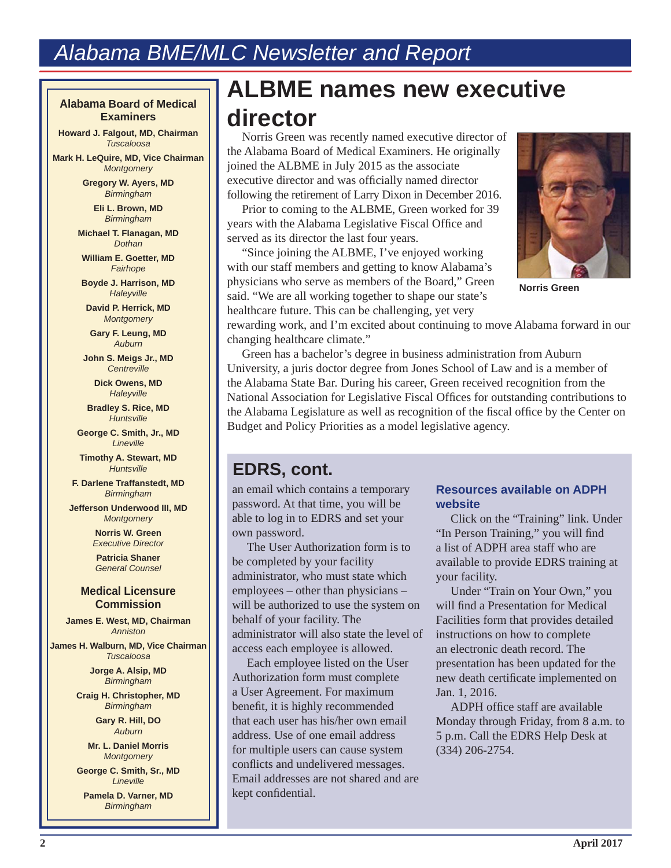#### **Alabama Board of Medical Examiners**

**Howard J. Falgout, MD, Chairman** *Tuscaloosa* 

**Mark H. LeQuire, MD, Vice Chairman** *Montgomery*

> **Gregory W. Ayers, MD** *Birmingham*

> > **Eli L. Brown, MD** *Birmingham*

**Michael T. Flanagan, MD** *Dothan*

**William E. Goetter, MD** *Fairhope*

**Boyde J. Harrison, MD** *Haleyville*

**David P. Herrick, MD** *Montgomery*

**Gary F. Leung, MD** *Auburn*

**John S. Meigs Jr., MD** *Centreville*

> **Dick Owens, MD** *Haleyville*

**Bradley S. Rice, MD** *Huntsville*

**George C. Smith, Jr., MD** *Lineville*

**Timothy A. Stewart, MD** *Huntsville*

**F. Darlene Traffanstedt, MD** *Birmingham*

**Jefferson Underwood III, MD** *Montgomery*

> **Norris W. Green** *Executive Director*

**Patricia Shaner** *General Counsel*

#### **Medical Licensure Commission**

**James E. West, MD, Chairman** *Anniston*

**James H. Walburn, MD, Vice Chairman** *Tuscaloosa*

> **Jorge A. Alsip, MD** *Birmingham*

**Craig H. Christopher, MD** *Birmingham*

> **Gary R. Hill, DO** *Auburn*

**Mr. L. Daniel Morris** *Montgomery*

**George C. Smith, Sr., MD** *Lineville*

**Pamela D. Varner, MD** *Birmingham*

# **ALBME names new executive director**

Norris Green was recently named executive director of the Alabama Board of Medical Examiners. He originally joined the ALBME in July 2015 as the associate executive director and was officially named director following the retirement of Larry Dixon in December 2016.

Prior to coming to the ALBME, Green worked for 39 years with the Alabama Legislative Fiscal Office and served as its director the last four years.

"Since joining the ALBME, I've enjoyed working with our staff members and getting to know Alabama's physicians who serve as members of the Board," Green said. "We are all working together to shape our state's healthcare future. This can be challenging, yet very



**Norris Green**

rewarding work, and I'm excited about continuing to move Alabama forward in our changing healthcare climate."

Green has a bachelor's degree in business administration from Auburn University, a juris doctor degree from Jones School of Law and is a member of the Alabama State Bar. During his career, Green received recognition from the National Association for Legislative Fiscal Offices for outstanding contributions to the Alabama Legislature as well as recognition of the fiscal office by the Center on Budget and Policy Priorities as a model legislative agency.

### **EDRS, cont.**

an email which contains a temporary password. At that time, you will be able to log in to EDRS and set your own password.

The User Authorization form is to be completed by your facility administrator, who must state which employees – other than physicians – will be authorized to use the system on behalf of your facility. The administrator will also state the level of access each employee is allowed.

Each employee listed on the User Authorization form must complete a User Agreement. For maximum benefit, it is highly recommended that each user has his/her own email address. Use of one email address for multiple users can cause system conflicts and undelivered messages. Email addresses are not shared and are kept confidential.

#### **Resources available on ADPH website**

Click on the "Training" link. Under "In Person Training," you will find a list of ADPH area staff who are available to provide EDRS training at your facility.

Under "Train on Your Own," you will find a Presentation for Medical Facilities form that provides detailed instructions on how to complete an electronic death record. The presentation has been updated for the new death certificate implemented on Jan. 1, 2016.

ADPH office staff are available Monday through Friday, from 8 a.m. to 5 p.m. Call the EDRS Help Desk at (334) 206-2754.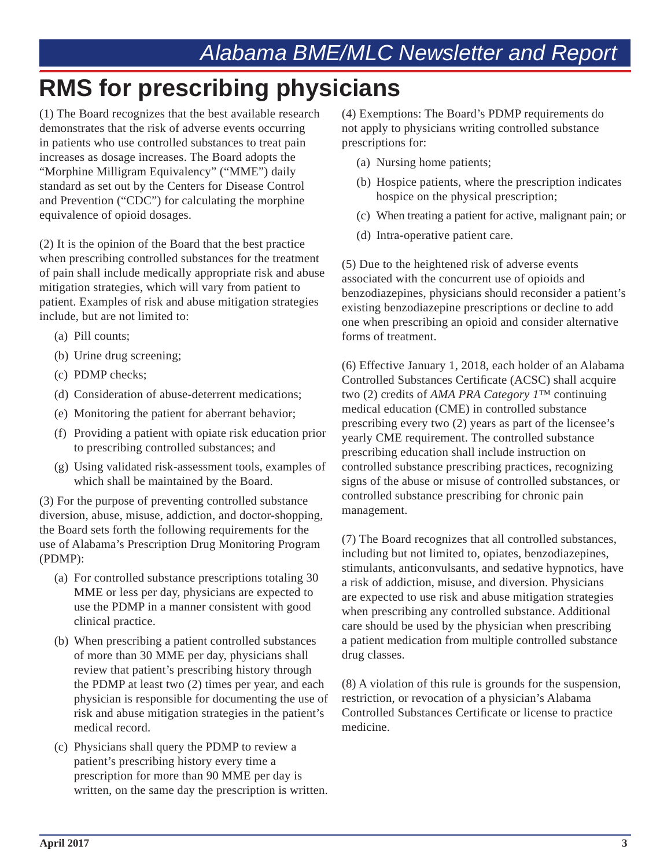# **RMS for prescribing physicians**

(1) The Board recognizes that the best available research demonstrates that the risk of adverse events occurring in patients who use controlled substances to treat pain increases as dosage increases. The Board adopts the "Morphine Milligram Equivalency" ("MME") daily standard as set out by the Centers for Disease Control and Prevention ("CDC") for calculating the morphine equivalence of opioid dosages.

(2) It is the opinion of the Board that the best practice when prescribing controlled substances for the treatment of pain shall include medically appropriate risk and abuse mitigation strategies, which will vary from patient to patient. Examples of risk and abuse mitigation strategies include, but are not limited to:

- (a) Pill counts;
- (b) Urine drug screening;
- (c) PDMP checks;
- (d) Consideration of abuse-deterrent medications;
- (e) Monitoring the patient for aberrant behavior;
- (f) Providing a patient with opiate risk education prior to prescribing controlled substances; and
- (g) Using validated risk-assessment tools, examples of which shall be maintained by the Board.

(3) For the purpose of preventing controlled substance diversion, abuse, misuse, addiction, and doctor-shopping, the Board sets forth the following requirements for the use of Alabama's Prescription Drug Monitoring Program (PDMP):

- (a) For controlled substance prescriptions totaling 30 MME or less per day, physicians are expected to use the PDMP in a manner consistent with good clinical practice.
- (b) When prescribing a patient controlled substances of more than 30 MME per day, physicians shall review that patient's prescribing history through the PDMP at least two (2) times per year, and each physician is responsible for documenting the use of risk and abuse mitigation strategies in the patient's medical record.
- (c) Physicians shall query the PDMP to review a patient's prescribing history every time a prescription for more than 90 MME per day is written, on the same day the prescription is written.

(4) Exemptions: The Board's PDMP requirements do not apply to physicians writing controlled substance prescriptions for:

- (a) Nursing home patients;
- (b) Hospice patients, where the prescription indicates hospice on the physical prescription;
- (c) When treating a patient for active, malignant pain; or
- (d) Intra-operative patient care.

(5) Due to the heightened risk of adverse events associated with the concurrent use of opioids and benzodiazepines, physicians should reconsider a patient's existing benzodiazepine prescriptions or decline to add one when prescribing an opioid and consider alternative forms of treatment.

(6) Effective January 1, 2018, each holder of an Alabama Controlled Substances Certificate (ACSC) shall acquire two (2) credits of *AMA PRA Category 1*™ continuing medical education (CME) in controlled substance prescribing every two (2) years as part of the licensee's yearly CME requirement. The controlled substance prescribing education shall include instruction on controlled substance prescribing practices, recognizing signs of the abuse or misuse of controlled substances, or controlled substance prescribing for chronic pain management.

(7) The Board recognizes that all controlled substances, including but not limited to, opiates, benzodiazepines, stimulants, anticonvulsants, and sedative hypnotics, have a risk of addiction, misuse, and diversion. Physicians are expected to use risk and abuse mitigation strategies when prescribing any controlled substance. Additional care should be used by the physician when prescribing a patient medication from multiple controlled substance drug classes.

(8) A violation of this rule is grounds for the suspension, restriction, or revocation of a physician's Alabama Controlled Substances Certificate or license to practice medicine.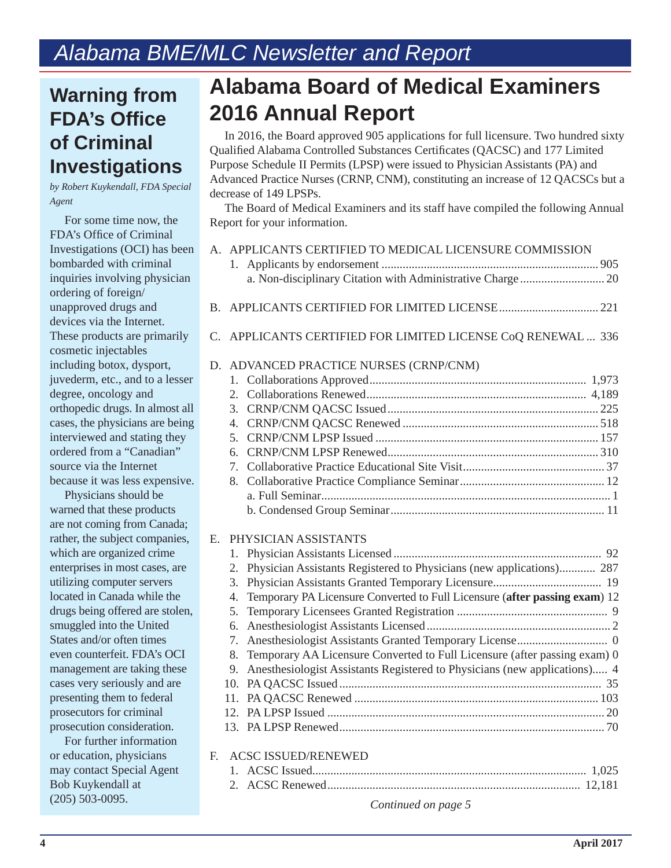## **Warning from FDA's Offi ce of Criminal Investigations**

*by Robert Kuykendall, FDA Special Agent*

For some time now, the FDA's Office of Criminal Investigations (OCI) has been bombarded with criminal inquiries involving physician ordering of foreign/ unapproved drugs and devices via the Internet. These products are primarily cosmetic injectables including botox, dysport, juvederm, etc., and to a lesser degree, oncology and orthopedic drugs. In almost all cases, the physicians are being interviewed and stating they ordered from a "Canadian" source via the Internet because it was less expensive.

Physicians should be warned that these products are not coming from Canada; rather, the subject companies, which are organized crime enterprises in most cases, are utilizing computer servers located in Canada while the drugs being offered are stolen, smuggled into the United States and/or often times even counterfeit. FDA's OCI management are taking these cases very seriously and are presenting them to federal prosecutors for criminal prosecution consideration.

For further information or education, physicians may contact Special Agent Bob Kuykendall at (205) 503-0095.

## **Alabama Board of Medical Examiners 2016 Annual Report**

In 2016, the Board approved 905 applications for full licensure. Two hundred sixty Qualified Alabama Controlled Substances Certificates (QACSC) and 177 Limited Purpose Schedule II Permits (LPSP) were issued to Physician Assistants (PA) and Advanced Practice Nurses (CRNP, CNM), constituting an increase of 12 QACSCs but a decrease of 149 LPSPs.

The Board of Medical Examiners and its staff have compiled the following Annual Report for your information.

|                 |                | A. APPLICANTS CERTIFIED TO MEDICAL LICENSURE COMMISSION                    |
|-----------------|----------------|----------------------------------------------------------------------------|
| $\mathbf{B}$ .  |                |                                                                            |
| $\mathcal{C}$ . |                | APPLICANTS CERTIFIED FOR LIMITED LICENSE CoQ RENEWAL  336                  |
| D.              |                | ADVANCED PRACTICE NURSES (CRNP/CNM)                                        |
|                 |                |                                                                            |
|                 | 2.             |                                                                            |
|                 |                |                                                                            |
|                 | 4.             |                                                                            |
|                 | 5 <sup>7</sup> |                                                                            |
|                 | 6              |                                                                            |
|                 | 7 <sub>1</sub> |                                                                            |
|                 |                |                                                                            |
|                 |                |                                                                            |
|                 |                |                                                                            |
| $E_{\rm c}$     |                | PHYSICIAN ASSISTANTS                                                       |
|                 | 1.             |                                                                            |
|                 |                | 2. Physician Assistants Registered to Physicians (new applications) 287    |
|                 | 3.             |                                                                            |
|                 | 4.             | Temporary PA Licensure Converted to Full Licensure (after passing exam) 12 |
|                 | 5.             |                                                                            |
|                 | 6.             |                                                                            |
|                 | 7.             |                                                                            |
|                 | 8.             | Temporary AA Licensure Converted to Full Licensure (after passing exam) 0  |
|                 | 9.             | Anesthesiologist Assistants Registered to Physicians (new applications) 4  |
|                 |                |                                                                            |

 11. PA QACSC Renewed ................................................................................. 103 12. PA LPSP Issued ............................................................................................ 20 13. PA LPSP Renewed ........................................................................................ 70

### F. ACSC ISSUED/RENEWED

*Continued on page 5*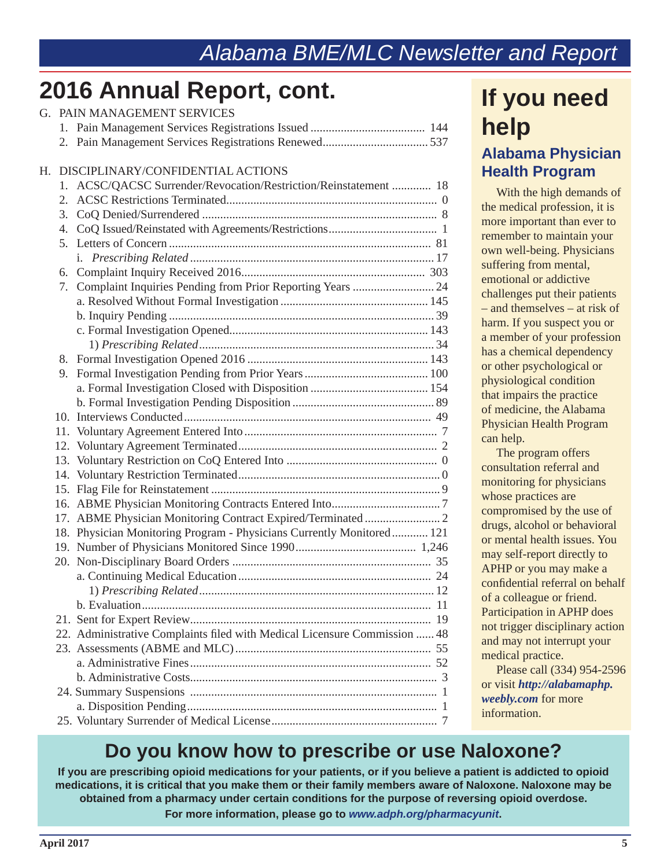# **2016 Annual Report, cont.**

|    | <b>G. PAIN MANAGEMENT SERVICES</b>                                        |
|----|---------------------------------------------------------------------------|
|    |                                                                           |
|    |                                                                           |
|    |                                                                           |
|    | H. DISCIPLINARY/CONFIDENTIAL ACTIONS                                      |
| 1. | ACSC/QACSC Surrender/Revocation/Restriction/Reinstatement  18             |
| 2. |                                                                           |
| 3. |                                                                           |
|    |                                                                           |
|    |                                                                           |
|    |                                                                           |
| 6. |                                                                           |
| 7. | Complaint Inquiries Pending from Prior Reporting Years  24                |
|    |                                                                           |
|    |                                                                           |
|    |                                                                           |
|    |                                                                           |
|    |                                                                           |
|    |                                                                           |
|    |                                                                           |
|    |                                                                           |
|    |                                                                           |
|    |                                                                           |
|    |                                                                           |
|    |                                                                           |
|    |                                                                           |
|    |                                                                           |
|    |                                                                           |
|    |                                                                           |
|    | 18. Physician Monitoring Program - Physicians Currently Monitored 121     |
|    |                                                                           |
|    |                                                                           |
|    |                                                                           |
|    |                                                                           |
|    |                                                                           |
|    |                                                                           |
|    | 22. Administrative Complaints filed with Medical Licensure Commission  48 |
|    |                                                                           |
|    |                                                                           |
|    |                                                                           |
|    |                                                                           |
|    |                                                                           |
|    |                                                                           |

# **If you need help**

### **Alabama Physician Health Program**

With the high demands of the medical profession, it is more important than ever to remember to maintain your own well-being. Physicians suffering from mental, emotional or addictive challenges put their patients – and themselves – at risk of harm. If you suspect you or a member of your profession has a chemical dependency or other psychological or physiological condition that impairs the practice of medicine, the Alabama Physician Health Program can help.

The program offers consultation referral and monitoring for physicians whose practices are compromised by the use of drugs, alcohol or behavioral or mental health issues. You may self-report directly to APHP or you may make a confidential referral on behalf of a colleague or friend. Participation in APHP does not trigger disciplinary action and may not interrupt your medical practice.

Please call (334) 954-2596 or visit *[http://alabamaphp.](http://alabamaphp.weebly.com) weebly.com* for more information.

## **Do you know how to prescribe or use Naloxone?**

**If you are prescribing opioid medications for your patients, or if you believe a patient is addicted to opioid medications, it is critical that you make them or their family members aware of Naloxone. Naloxone may be obtained from a pharmacy under certain conditions for the purpose of reversing opioid overdose.**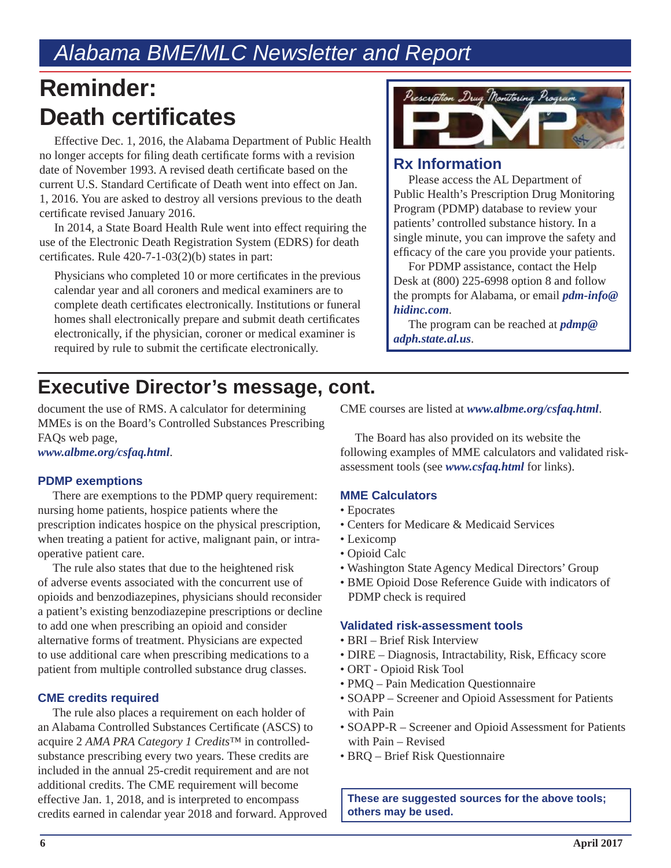# **Reminder: Death certificates**

Effective Dec. 1, 2016, the Alabama Department of Public Health no longer accepts for filing death certificate forms with a revision date of November 1993. A revised death certificate based on the current U.S. Standard Certificate of Death went into effect on Jan. 1, 2016. You are asked to destroy all versions previous to the death certificate revised January 2016.

In 2014, a State Board Health Rule went into effect requiring the use of the Electronic Death Registration System (EDRS) for death certificates. Rule  $420-7-1-03(2)(b)$  states in part:

Physicians who completed 10 or more certificates in the previous calendar year and all coroners and medical examiners are to complete death certificates electronically. Institutions or funeral homes shall electronically prepare and submit death certificates electronically, if the physician, coroner or medical examiner is required by rule to submit the certificate electronically.



### **Rx Information**

Please access the AL Department of Public Health's Prescription Drug Monitoring Program (PDMP) database to review your patients' controlled substance history. In a single minute, you can improve the safety and efficacy of the care you provide your patients.

For PDMP assistance, contact the Help Desk at (800) 225-6998 option 8 and follow [the prompts for Alabama, or email](mailto:pdm-info@hidinc.com) *pdm-info@ hidinc.com*.

[The program can be reached at](mailto:pdmp@adph.state.al.us) *pdmp@ adph.state.al.us*.

## **Executive Director's message, cont.**

document the use of RMS. A calculator for determining MMEs is on the Board's Controlled Substances Prescribing FAQs web page,

*www.albme.org/csfaq.html*.

### **PDMP exemptions**

There are exemptions to the PDMP query requirement: nursing home patients, hospice patients where the prescription indicates hospice on the physical prescription, when treating a patient for active, malignant pain, or intraoperative patient care.

The rule also states that due to the heightened risk of adverse events associated with the concurrent use of opioids and benzodiazepines, physicians should reconsider a patient's existing benzodiazepine prescriptions or decline to add one when prescribing an opioid and consider alternative forms of treatment. Physicians are expected to use additional care when prescribing medications to a patient from multiple controlled substance drug classes.

### **CME credits required**

The rule also places a requirement on each holder of an Alabama Controlled Substances Certificate (ASCS) to acquire 2 *AMA PRA Category 1 Credits*™ in controlledsubstance prescribing every two years. These credits are included in the annual 25-credit requirement and are not additional credits. The CME requirement will become effective Jan. 1, 2018, and is interpreted to encompass credits earned in calendar year 2018 and forward. Approved CME courses are listed at *www.albme.org/csfaq.html*.

The Board has also provided on its website the following examples of MME calculators and validated riskassessment tools (see *www.csfaq.html* for links).

### **MME Calculators**

- Epocrates
- Centers for Medicare & Medicaid Services
- Lexicomp
- Opioid Calc
- Washington State Agency Medical Directors' Group
- BME Opioid Dose Reference Guide with indicators of PDMP check is required

### **Validated risk-assessment tools**

- BRI Brief Risk Interview
- DIRE Diagnosis, Intractability, Risk, Efficacy score
- ORT Opioid Risk Tool
- PMQ Pain Medication Questionnaire
- SOAPP Screener and Opioid Assessment for Patients with Pain
- SOAPP-R Screener and Opioid Assessment for Patients with Pain – Revised
- BRQ Brief Risk Questionnaire

**These are suggested sources for the above tools; others may be used.**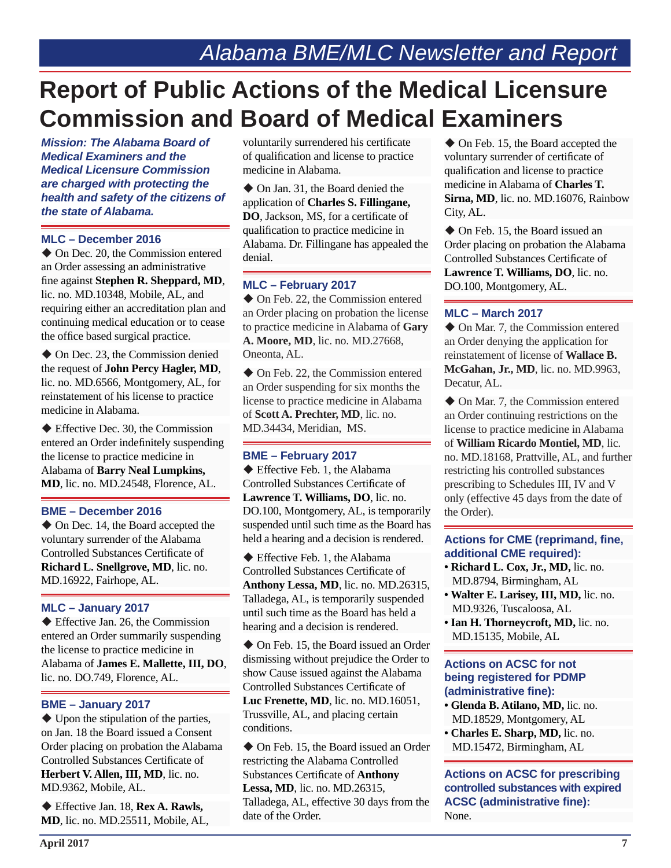# **Report of Public Actions of the Medical Licensure Commission and Board of Medical Examiners**

*Mission: The Alabama Board of Medical Examiners and the Medical Licensure Commission are charged with protecting the health and safety of the citizens of the state of Alabama.* 

### **MLC – December 2016**

 On Dec. 20, the Commission entered an Order assessing an administrative fine against **Stephen R. Sheppard, MD**, lic. no. MD.10348, Mobile, AL, and requiring either an accreditation plan and continuing medical education or to cease the office based surgical practice.

◆ On Dec. 23, the Commission denied the request of **John Percy Hagler, MD**, lic. no. MD.6566, Montgomery, AL, for reinstatement of his license to practice medicine in Alabama.

◆ Effective Dec. 30, the Commission entered an Order indefinitely suspending the license to practice medicine in Alabama of **Barry Neal Lumpkins, MD**, lic. no. MD.24548, Florence, AL.

#### **BME – December 2016**

◆ On Dec. 14, the Board accepted the voluntary surrender of the Alabama Controlled Substances Certificate of **Richard L. Snellgrove, MD**, lic. no. MD.16922, Fairhope, AL.

#### **MLC – January 2017**

◆ Effective Jan. 26, the Commission entered an Order summarily suspending the license to practice medicine in Alabama of **James E. Mallette, III, DO**, lic. no. DO.749, Florence, AL.

#### **BME – January 2017**

 $\blacklozenge$  Upon the stipulation of the parties, on Jan. 18 the Board issued a Consent Order placing on probation the Alabama Controlled Substances Certificate of **Herbert V. Allen, III, MD**, lic. no. MD.9362, Mobile, AL.

◆ Effective Jan. 18, **Rex A. Rawls**, **MD**, lic. no. MD.25511, Mobile, AL,

voluntarily surrendered his certificate of qualification and license to practice medicine in Alabama.

◆ On Jan. 31, the Board denied the application of **Charles S. Fillingane, DO**, Jackson, MS, for a certificate of qualification to practice medicine in Alabama. Dr. Fillingane has appealed the denial.

#### **MLC – February 2017**

◆ On Feb. 22, the Commission entered an Order placing on probation the license to practice medicine in Alabama of **Gary A. Moore, MD**, lic. no. MD.27668, Oneonta, AL.

◆ On Feb. 22, the Commission entered an Order suspending for six months the license to practice medicine in Alabama of **Scott A. Prechter, MD**, lic. no. MD.34434, Meridian, MS.

#### **BME – February 2017**

◆ Effective Feb. 1, the Alabama Controlled Substances Certificate of **Lawrence T. Williams, DO**, lic. no. DO.100, Montgomery, AL, is temporarily suspended until such time as the Board has held a hearing and a decision is rendered.

◆ Effective Feb. 1, the Alabama Controlled Substances Certificate of **Anthony Lessa, MD**, lic. no. MD.26315, Talladega, AL, is temporarily suspended until such time as the Board has held a hearing and a decision is rendered.

 On Feb. 15, the Board issued an Order dismissing without prejudice the Order to show Cause issued against the Alabama Controlled Substances Certificate of **Luc Frenette, MD**, lic. no. MD.16051, Trussville, AL, and placing certain conditions.

◆ On Feb. 15, the Board issued an Order restricting the Alabama Controlled Substances Certificate of **Anthony Lessa, MD**, lic. no. MD.26315, Talladega, AL, effective 30 days from the date of the Order.

◆ On Feb. 15, the Board accepted the voluntary surrender of certificate of qualification and license to practice medicine in Alabama of **Charles T. Sirna, MD**, lic. no. MD.16076, Rainbow City, AL.

◆ On Feb. 15, the Board issued an Order placing on probation the Alabama Controlled Substances Certificate of **Lawrence T. Williams, DO**, lic. no. DO.100, Montgomery, AL.

#### **MLC – March 2017**

◆ On Mar. 7, the Commission entered an Order denying the application for reinstatement of license of **Wallace B. McGahan, Jr., MD**, lic. no. MD.9963, Decatur, AL.

◆ On Mar. 7, the Commission entered an Order continuing restrictions on the license to practice medicine in Alabama of **William Ricardo Montiel, MD**, lic. no. MD.18168, Prattville, AL, and further restricting his controlled substances prescribing to Schedules III, IV and V only (effective 45 days from the date of the Order).

### Actions for CME (reprimand, fine, **additional CME required):**

- **Richard L. Cox, Jr., MD,** lic. no. MD.8794, Birmingham, AL
- **Walter E. Larisey, III, MD,** lic. no. MD.9326, Tuscaloosa, AL
- **Ian H. Thorneycroft, MD,** lic. no. MD.15135, Mobile, AL

### **Actions on ACSC for not being registered for PDMP (administrative fi ne):**

- **Glenda B. Atilano, MD,** lic. no. MD.18529, Montgomery, AL
- **Charles E. Sharp, MD,** lic. no. MD.15472, Birmingham, AL

**Actions on ACSC for prescribing controlled substances with expired ACSC (administrative fi ne):**  None.